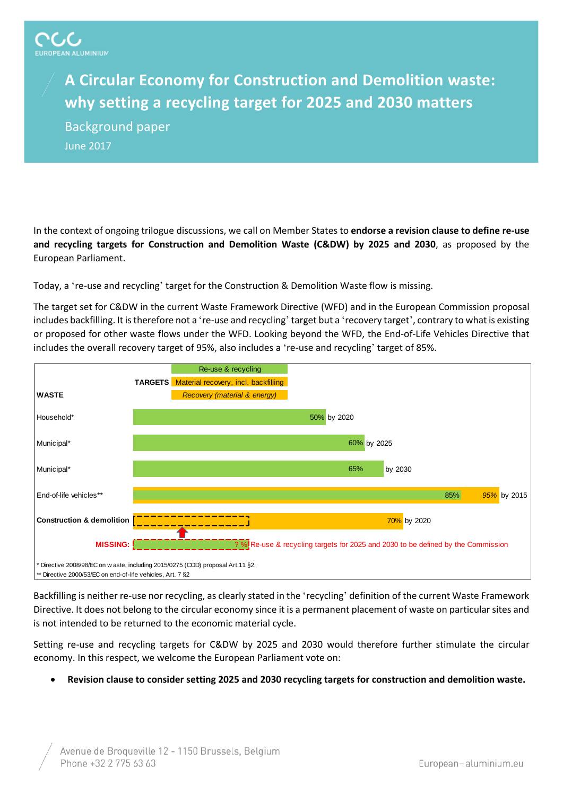## **A Circular Economy for Construction and Demolition waste: why setting a recycling target for 2025 and 2030 matters**

Background paper June 2017

In the context of ongoing trilogue discussions, we call on Member States to **endorse a revision clause to define re-use and recycling targets for Construction and Demolition Waste (C&DW) by 2025 and 2030**, as proposed by the European Parliament.

Today, a 're-use and recycling' target for the Construction & Demolition Waste flow is missing.

The target set for C&DW in the current Waste Framework Directive (WFD) and in the European Commission proposal includes backfilling. It is therefore not a 're-use and recycling' target but a 'recovery target', contrary to what is existing or proposed for other waste flows under the WFD. Looking beyond the WFD, the End-of-Life Vehicles Directive that includes the overall recovery target of 95%, also includes a 're-use and recycling' target of 85%.



Backfilling is neither re-use nor recycling, as clearly stated in the 'recycling' definition of the current Waste Framework Directive. It does not belong to the circular economy since it is a permanent placement of waste on particular sites and is not intended to be returned to the economic material cycle.

Setting re-use and recycling targets for C&DW by 2025 and 2030 would therefore further stimulate the circular economy. In this respect, we welcome the European Parliament vote on:

• **Revision clause to consider setting 2025 and 2030 recycling targets for construction and demolition waste.**